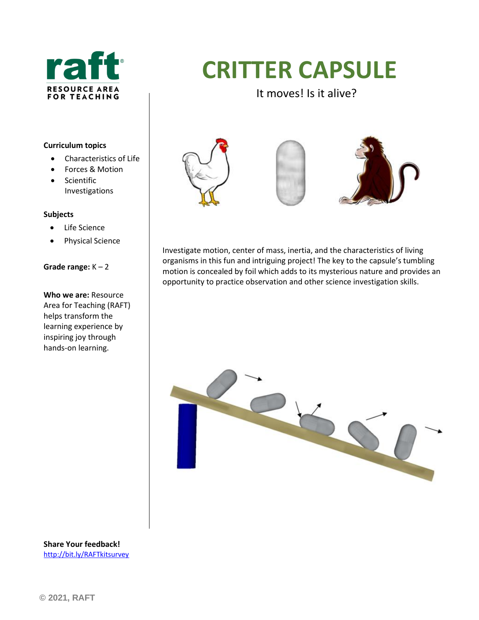

# **CRITTER CAPSULE**

It moves! Is it alive?

#### **Curriculum topics**

- Characteristics of Life
- Forces & Motion
- Scientific Investigations

#### **Subjects**

- Life Science
- Physical Science

#### **Grade range:** K – 2

**Who we are:** Resource Area for Teaching (RAFT) helps transform the learning experience by inspiring joy through hands-on learning.







Investigate motion, center of mass, inertia, and the characteristics of living organisms in this fun and intriguing project! The key to the capsule's tumbling motion is concealed by foil which adds to its mysterious nature and provides an opportunity to practice observation and other science investigation skills.



**Share Your feedback!** <http://bit.ly/RAFTkitsurvey>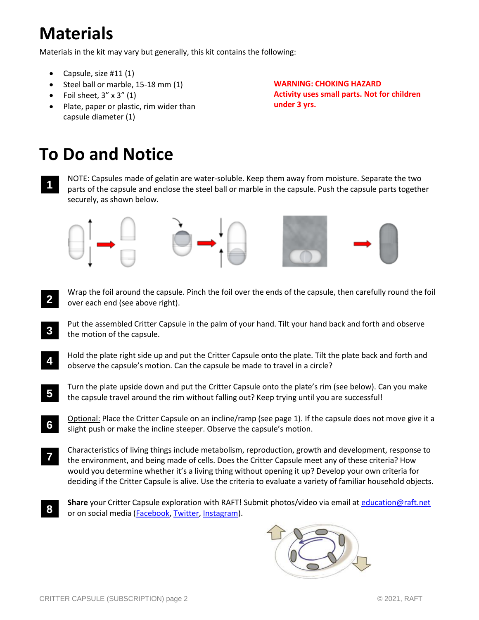# **Materials**

Materials in the kit may vary but generally, this kit contains the following:

- Capsule, size  $\#11(1)$
- Steel ball or marble, 15-18 mm (1)
- Foil sheet,  $3'' \times 3''$  (1)
- Plate, paper or plastic, rim wider than capsule diameter (1)

**WARNING: CHOKING HAZARD Activity uses small parts. Not for children under 3 yrs.**

# **To Do and Notice**

• NOTE: Capsules made of gelatin are water-soluble. Keep them away from moisture. Separate the two parts of the capsule and enclose the steel ball or marble in the capsule. Push the capsule parts together securely, as shown below. **1**



- Wrap the foil around the capsule. Pinch the foil over the ends of the capsule, then carefully round the foil over each end (see above right). **2**
- Put the assembled Critter Capsule in the palm of your hand. Tilt your hand back and forth and observe the motion of the capsule. **3**
- Hold the plate right side up and put the Critter Capsule onto the plate. Tilt the plate back and forth and observe the capsule's motion. Can the capsule be made to travel in a circle? **4**
- Turn the plate upside down and put the Critter Capsule onto the plate's rim (see below). Can you make the capsule travel around the rim without falling out? Keep trying until you are successful! **5**
- Optional: Place the Critter Capsule on an incline/ramp (see page 1). If the capsule does not move give it a slight push or make the incline steeper. Observe the capsule's motion. **6**
- Characteristics of living things include metabolism, reproduction, growth and development, response to the environment, and being made of cells. Does the Critter Capsule meet any of these criteria? How would you determine whether it's a living thing without opening it up? Develop your own criteria for deciding if the Critter Capsule is alive. Use the criteria to evaluate a variety of familiar household objects. **7**
- **Share** your Critter Capsule exploration with RAFT! Submit photos/video via email at [education@raft.net](mailto:education@raft.net) or on social media [\(Facebook,](https://www.facebook.com/raftbayarea/) [Twitter,](https://twitter.com/raftbayarea) [Instagram\)](https://www.instagram.com/resource_area_for_teaching/). **8**